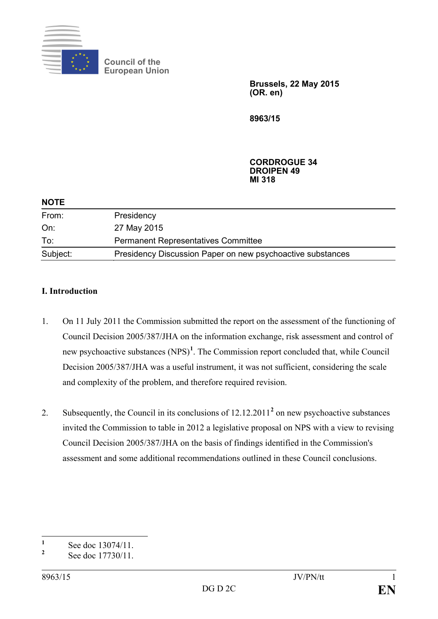

**Council of the European Union**

> **Brussels, 22 May 2015 (OR. en)**

**8963/15**

#### **CORDROGUE 34 DROIPEN 49 MI 318**

| <b>NUIL</b> |                                                            |  |
|-------------|------------------------------------------------------------|--|
| From:       | Presidency                                                 |  |
| On:         | 27 May 2015                                                |  |
| To:         | <b>Permanent Representatives Committee</b>                 |  |
| Subject:    | Presidency Discussion Paper on new psychoactive substances |  |

## **I. Introduction**

**NOTE**

- 1. On 11 July 2011 the Commission submitted the report on the assessment of the functioning of Council Decision 2005/387/JHA on the information exchange, risk assessment and control of new psychoactive substances (NPS)**[1](#page-0-0)** . The Commission report concluded that, while Council Decision 2005/387/JHA was a useful instrument, it was not sufficient, considering the scale and complexity of the problem, and therefore required revision.
- 2. Subsequently, the Council in its conclusions of 12.12.2011**[2](#page-0-1)** on new psychoactive substances invited the Commission to table in 2012 a legislative proposal on NPS with a view to revising Council Decision 2005/387/JHA on the basis of findings identified in the Commission's assessment and some additional recommendations outlined in these Council conclusions.

<span id="page-0-0"></span> $\frac{1}{2}$  See doc 13074/11.  $\mathbf{1}$ 

<span id="page-0-1"></span>**<sup>2</sup>** See doc 17730/11.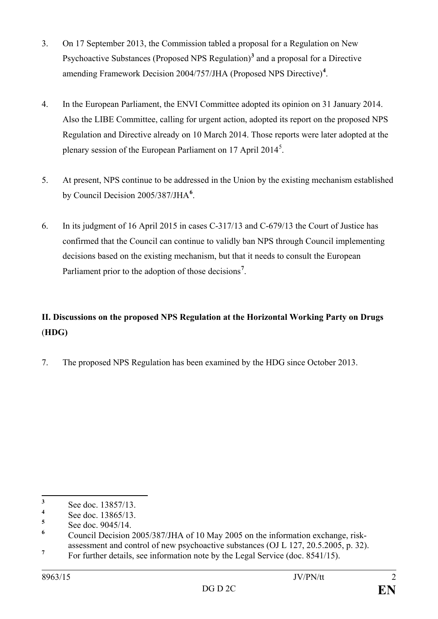- 3. On 17 September 2013, the Commission tabled a proposal for a Regulation on New Psychoactive Substances (Proposed NPS Regulation)**[3](#page-1-0)** and a proposal for a Directive amending Framework Decision 2004/757/JHA (Proposed NPS Directive)**[4](#page-1-1)** .
- 4. In the European Parliament, the ENVI Committee adopted its opinion on 31 January 2014. Also the LIBE Committee, calling for urgent action, adopted its report on the proposed NPS Regulation and Directive already on 10 March 2014. Those reports were later adopted at the plenary session of the European Parliament on 17 April 2014<sup>[5](#page-1-2)</sup>.
- 5. At present, NPS continue to be addressed in the Union by the existing mechanism established by Council Decision 2005/387/JHA**[6](#page-1-3)** .
- 6. In its judgment of 16 April 2015 in cases C-317/13 and C-679/13 the Court of Justice has confirmed that the Council can continue to validly ban NPS through Council implementing decisions based on the existing mechanism, but that it needs to consult the European Parliament prior to the adoption of those decisions**[7](#page-1-4)** .

# **II. Discussions on the proposed NPS Regulation at the Horizontal Working Party on Drugs** (**HDG)**

7. The proposed NPS Regulation has been examined by the HDG since October 2013.

<span id="page-1-0"></span> $\frac{3}{4}$  See doc. 13857/13.  $\mathbf{3}$ 

<span id="page-1-1"></span> $\frac{4}{5}$  See doc. 13865/13.

<span id="page-1-3"></span><span id="page-1-2"></span><sup>&</sup>lt;sup>5</sup> See doc. 9045/14.<br><sup>6</sup> Council Decision 2005/387/JHA of 10 May 2005 on the information exchange, riskassessment and control of new psychoactive substances (OJ L 127, 20.5.2005, p. 32).

<span id="page-1-4"></span><sup>&</sup>lt;sup>7</sup> For further details, see information note by the Legal Service (doc. 8541/15).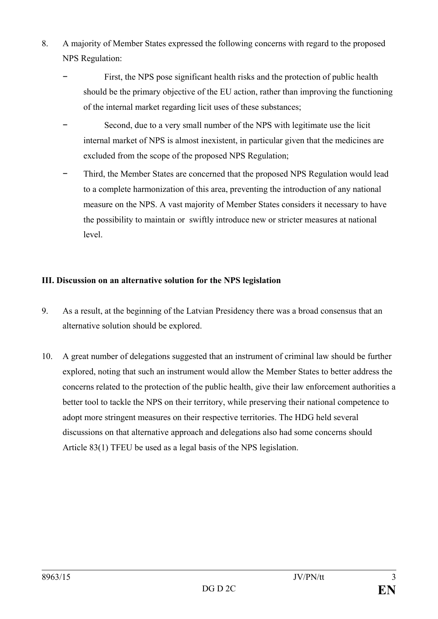- 8. A majority of Member States expressed the following concerns with regard to the proposed NPS Regulation:
	- First, the NPS pose significant health risks and the protection of public health should be the primary objective of the EU action, rather than improving the functioning of the internal market regarding licit uses of these substances;
	- Second, due to a very small number of the NPS with legitimate use the licit internal market of NPS is almost inexistent, in particular given that the medicines are excluded from the scope of the proposed NPS Regulation;
	- Third, the Member States are concerned that the proposed NPS Regulation would lead to a complete harmonization of this area, preventing the introduction of any national measure on the NPS. A vast majority of Member States considers it necessary to have the possibility to maintain or swiftly introduce new or stricter measures at national level.

### **III. Discussion on an alternative solution for the NPS legislation**

- 9. As a result, at the beginning of the Latvian Presidency there was a broad consensus that an alternative solution should be explored.
- 10. A great number of delegations suggested that an instrument of criminal law should be further explored, noting that such an instrument would allow the Member States to better address the concerns related to the protection of the public health, give their law enforcement authorities a better tool to tackle the NPS on their territory, while preserving their national competence to adopt more stringent measures on their respective territories. The HDG held several discussions on that alternative approach and delegations also had some concerns should Article 83(1) TFEU be used as a legal basis of the NPS legislation.